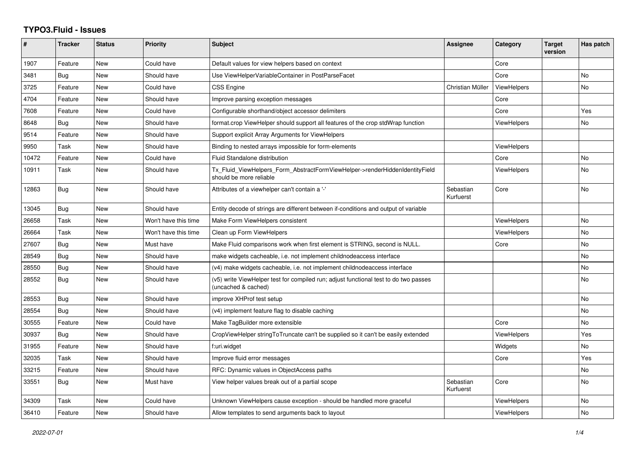## **TYPO3.Fluid - Issues**

| #     | <b>Tracker</b> | <b>Status</b> | <b>Priority</b>      | <b>Subject</b>                                                                                              | Assignee               | Category           | <b>Target</b><br>version | Has patch      |
|-------|----------------|---------------|----------------------|-------------------------------------------------------------------------------------------------------------|------------------------|--------------------|--------------------------|----------------|
| 1907  | Feature        | New           | Could have           | Default values for view helpers based on context                                                            |                        | Core               |                          |                |
| 3481  | <b>Bug</b>     | New           | Should have          | Use ViewHelperVariableContainer in PostParseFacet                                                           |                        | Core               |                          | N <sub>o</sub> |
| 3725  | Feature        | New           | Could have           | <b>CSS Engine</b>                                                                                           | Christian Müller       | <b>ViewHelpers</b> |                          | No             |
| 4704  | Feature        | New           | Should have          | Improve parsing exception messages                                                                          |                        | Core               |                          |                |
| 7608  | Feature        | New           | Could have           | Configurable shorthand/object accessor delimiters                                                           |                        | Core               |                          | Yes            |
| 8648  | Bug            | New           | Should have          | format.crop ViewHelper should support all features of the crop stdWrap function                             |                        | <b>ViewHelpers</b> |                          | No             |
| 9514  | Feature        | <b>New</b>    | Should have          | Support explicit Array Arguments for ViewHelpers                                                            |                        |                    |                          |                |
| 9950  | Task           | New           | Should have          | Binding to nested arrays impossible for form-elements                                                       |                        | <b>ViewHelpers</b> |                          |                |
| 10472 | Feature        | New           | Could have           | Fluid Standalone distribution                                                                               |                        | Core               |                          | <b>No</b>      |
| 10911 | Task           | New           | Should have          | Tx Fluid ViewHelpers Form AbstractFormViewHelper->renderHiddenIdentityField<br>should be more reliable      |                        | <b>ViewHelpers</b> |                          | No             |
| 12863 | <b>Bug</b>     | New           | Should have          | Attributes of a viewhelper can't contain a '-'                                                              | Sebastian<br>Kurfuerst | Core               |                          | <b>No</b>      |
| 13045 | <b>Bug</b>     | New           | Should have          | Entity decode of strings are different between if-conditions and output of variable                         |                        |                    |                          |                |
| 26658 | Task           | New           | Won't have this time | Make Form ViewHelpers consistent                                                                            |                        | <b>ViewHelpers</b> |                          | No             |
| 26664 | Task           | New           | Won't have this time | Clean up Form ViewHelpers                                                                                   |                        | <b>ViewHelpers</b> |                          | <b>No</b>      |
| 27607 | Bug            | New           | Must have            | Make Fluid comparisons work when first element is STRING, second is NULL.                                   |                        | Core               |                          | No             |
| 28549 | <b>Bug</b>     | New           | Should have          | make widgets cacheable, i.e. not implement childnodeaccess interface                                        |                        |                    |                          | No             |
| 28550 | Bug            | New           | Should have          | (v4) make widgets cacheable, i.e. not implement childnodeaccess interface                                   |                        |                    |                          | No             |
| 28552 | <b>Bug</b>     | New           | Should have          | (v5) write ViewHelper test for compiled run; adjust functional test to do two passes<br>(uncached & cached) |                        |                    |                          | <b>No</b>      |
| 28553 | Bug            | New           | Should have          | improve XHProf test setup                                                                                   |                        |                    |                          | <b>No</b>      |
| 28554 | <b>Bug</b>     | <b>New</b>    | Should have          | (v4) implement feature flag to disable caching                                                              |                        |                    |                          | <b>No</b>      |
| 30555 | Feature        | New           | Could have           | Make TagBuilder more extensible                                                                             |                        | Core               |                          | <b>No</b>      |
| 30937 | <b>Bug</b>     | New           | Should have          | CropViewHelper stringToTruncate can't be supplied so it can't be easily extended                            |                        | ViewHelpers        |                          | Yes            |
| 31955 | Feature        | <b>New</b>    | Should have          | f:uri.widget                                                                                                |                        | Widgets            |                          | <b>No</b>      |
| 32035 | Task           | New           | Should have          | Improve fluid error messages                                                                                |                        | Core               |                          | Yes            |
| 33215 | Feature        | New           | Should have          | RFC: Dynamic values in ObjectAccess paths                                                                   |                        |                    |                          | No             |
| 33551 | Bug            | New           | Must have            | View helper values break out of a partial scope                                                             | Sebastian<br>Kurfuerst | Core               |                          | No             |
| 34309 | Task           | New           | Could have           | Unknown ViewHelpers cause exception - should be handled more graceful                                       |                        | <b>ViewHelpers</b> |                          | No             |
| 36410 | Feature        | New           | Should have          | Allow templates to send arguments back to layout                                                            |                        | <b>ViewHelpers</b> |                          | No             |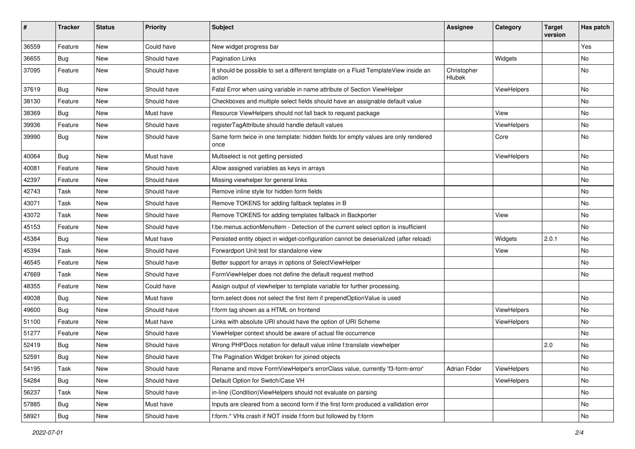| #     | <b>Tracker</b> | <b>Status</b> | <b>Priority</b> | Subject                                                                                       | <b>Assignee</b>       | Category    | <b>Target</b><br>version | Has patch |
|-------|----------------|---------------|-----------------|-----------------------------------------------------------------------------------------------|-----------------------|-------------|--------------------------|-----------|
| 36559 | Feature        | New           | Could have      | New widget progress bar                                                                       |                       |             |                          | Yes       |
| 36655 | Bug            | New           | Should have     | <b>Pagination Links</b>                                                                       |                       | Widgets     |                          | No        |
| 37095 | Feature        | New           | Should have     | It should be possible to set a different template on a Fluid TemplateView inside an<br>action | Christopher<br>Hlubek |             |                          | No        |
| 37619 | Bug            | New           | Should have     | Fatal Error when using variable in name attribute of Section ViewHelper                       |                       | ViewHelpers |                          | <b>No</b> |
| 38130 | Feature        | New           | Should have     | Checkboxes and multiple select fields should have an assignable default value                 |                       |             |                          | No        |
| 38369 | Bug            | New           | Must have       | Resource ViewHelpers should not fall back to request package                                  |                       | View        |                          | No        |
| 39936 | Feature        | New           | Should have     | registerTagAttribute should handle default values                                             |                       | ViewHelpers |                          | No        |
| 39990 | Bug            | New           | Should have     | Same form twice in one template: hidden fields for empty values are only rendered<br>once     |                       | Core        |                          | No        |
| 40064 | Bug            | New           | Must have       | Multiselect is not getting persisted                                                          |                       | ViewHelpers |                          | No        |
| 40081 | Feature        | New           | Should have     | Allow assigned variables as keys in arrays                                                    |                       |             |                          | No        |
| 42397 | Feature        | New           | Should have     | Missing viewhelper for general links                                                          |                       |             |                          | No        |
| 42743 | Task           | New           | Should have     | Remove inline style for hidden form fields                                                    |                       |             |                          | <b>No</b> |
| 43071 | Task           | New           | Should have     | Remove TOKENS for adding fallback teplates in B                                               |                       |             |                          | No        |
| 43072 | Task           | New           | Should have     | Remove TOKENS for adding templates fallback in Backporter                                     |                       | View        |                          | No        |
| 45153 | Feature        | New           | Should have     | f:be.menus.actionMenuItem - Detection of the current select option is insufficient            |                       |             |                          | No        |
| 45384 | Bug            | New           | Must have       | Persisted entity object in widget-configuration cannot be deserialized (after reload)         |                       | Widgets     | 2.0.1                    | No        |
| 45394 | Task           | New           | Should have     | Forwardport Unit test for standalone view                                                     |                       | View        |                          | No        |
| 46545 | Feature        | New           | Should have     | Better support for arrays in options of SelectViewHelper                                      |                       |             |                          | No        |
| 47669 | Task           | New           | Should have     | FormViewHelper does not define the default request method                                     |                       |             |                          | No        |
| 48355 | Feature        | New           | Could have      | Assign output of viewhelper to template variable for further processing.                      |                       |             |                          |           |
| 49038 | Bug            | New           | Must have       | form.select does not select the first item if prependOptionValue is used                      |                       |             |                          | <b>No</b> |
| 49600 | Bug            | New           | Should have     | f:form tag shown as a HTML on frontend                                                        |                       | ViewHelpers |                          | No        |
| 51100 | Feature        | New           | Must have       | Links with absolute URI should have the option of URI Scheme                                  |                       | ViewHelpers |                          | No        |
| 51277 | Feature        | New           | Should have     | ViewHelper context should be aware of actual file occurrence                                  |                       |             |                          | No        |
| 52419 | Bug            | New           | Should have     | Wrong PHPDocs notation for default value inline f:translate viewhelper                        |                       |             | 2.0                      | No        |
| 52591 | Bug            | New           | Should have     | The Pagination Widget broken for joined objects                                               |                       |             |                          | No        |
| 54195 | Task           | New           | Should have     | Rename and move FormViewHelper's errorClass value, currently 'f3-form-error'                  | Adrian Föder          | ViewHelpers |                          | No        |
| 54284 | Bug            | New           | Should have     | Default Option for Switch/Case VH                                                             |                       | ViewHelpers |                          | No        |
| 56237 | Task           | New           | Should have     | in-line (Condition) View Helpers should not evaluate on parsing                               |                       |             |                          | No        |
| 57885 | Bug            | New           | Must have       | Inputs are cleared from a second form if the first form produced a vallidation error          |                       |             |                          | No        |
| 58921 | <b>Bug</b>     | New           | Should have     | f:form.* VHs crash if NOT inside f:form but followed by f:form                                |                       |             |                          | No        |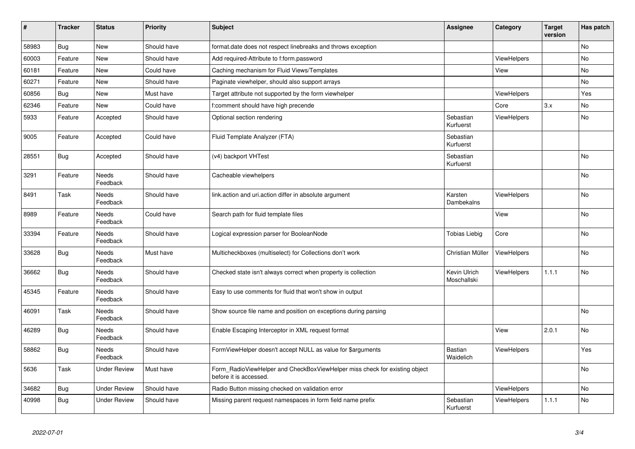| #     | <b>Tracker</b> | <b>Status</b>            | <b>Priority</b> | <b>Subject</b>                                                                                       | <b>Assignee</b>             | Category           | <b>Target</b><br>version | Has patch |
|-------|----------------|--------------------------|-----------------|------------------------------------------------------------------------------------------------------|-----------------------------|--------------------|--------------------------|-----------|
| 58983 | <b>Bug</b>     | New                      | Should have     | format.date does not respect linebreaks and throws exception                                         |                             |                    |                          | <b>No</b> |
| 60003 | Feature        | New                      | Should have     | Add required-Attribute to f:form.password                                                            |                             | <b>ViewHelpers</b> |                          | <b>No</b> |
| 60181 | Feature        | New                      | Could have      | Caching mechanism for Fluid Views/Templates                                                          |                             | View               |                          | No        |
| 60271 | Feature        | New                      | Should have     | Paginate viewhelper, should also support arrays                                                      |                             |                    |                          | No        |
| 60856 | Bug            | New                      | Must have       | Target attribute not supported by the form viewhelper                                                |                             | <b>ViewHelpers</b> |                          | Yes       |
| 62346 | Feature        | New                      | Could have      | f:comment should have high precende                                                                  |                             | Core               | 3.x                      | <b>No</b> |
| 5933  | Feature        | Accepted                 | Should have     | Optional section rendering                                                                           | Sebastian<br>Kurfuerst      | ViewHelpers        |                          | No        |
| 9005  | Feature        | Accepted                 | Could have      | Fluid Template Analyzer (FTA)                                                                        | Sebastian<br>Kurfuerst      |                    |                          |           |
| 28551 | Bug            | Accepted                 | Should have     | (v4) backport VHTest                                                                                 | Sebastian<br>Kurfuerst      |                    |                          | <b>No</b> |
| 3291  | Feature        | Needs<br>Feedback        | Should have     | Cacheable viewhelpers                                                                                |                             |                    |                          | No        |
| 8491  | Task           | Needs<br>Feedback        | Should have     | link action and uri action differ in absolute argument                                               | Karsten<br>Dambekalns       | <b>ViewHelpers</b> |                          | No.       |
| 8989  | Feature        | Needs<br>Feedback        | Could have      | Search path for fluid template files                                                                 |                             | View               |                          | No        |
| 33394 | Feature        | <b>Needs</b><br>Feedback | Should have     | Logical expression parser for BooleanNode                                                            | <b>Tobias Liebig</b>        | Core               |                          | <b>No</b> |
| 33628 | Bug            | <b>Needs</b><br>Feedback | Must have       | Multicheckboxes (multiselect) for Collections don't work                                             | Christian Müller            | <b>ViewHelpers</b> |                          | <b>No</b> |
| 36662 | Bug            | Needs<br>Feedback        | Should have     | Checked state isn't always correct when property is collection                                       | Kevin Ulrich<br>Moschallski | <b>ViewHelpers</b> | 1.1.1                    | No        |
| 45345 | Feature        | Needs<br>Feedback        | Should have     | Easy to use comments for fluid that won't show in output                                             |                             |                    |                          |           |
| 46091 | Task           | Needs<br>Feedback        | Should have     | Show source file name and position on exceptions during parsing                                      |                             |                    |                          | <b>No</b> |
| 46289 | <b>Bug</b>     | Needs<br>Feedback        | Should have     | Enable Escaping Interceptor in XML request format                                                    |                             | View               | 2.0.1                    | <b>No</b> |
| 58862 | <b>Bug</b>     | Needs<br>Feedback        | Should have     | FormViewHelper doesn't accept NULL as value for \$arguments                                          | Bastian<br>Waidelich        | ViewHelpers        |                          | Yes       |
| 5636  | Task           | Under Review             | Must have       | Form_RadioViewHelper and CheckBoxViewHelper miss check for existing object<br>before it is accessed. |                             |                    |                          | <b>No</b> |
| 34682 | <b>Bug</b>     | <b>Under Review</b>      | Should have     | Radio Button missing checked on validation error                                                     |                             | <b>ViewHelpers</b> |                          | <b>No</b> |
| 40998 | <b>Bug</b>     | Under Review             | Should have     | Missing parent request namespaces in form field name prefix                                          | Sebastian<br>Kurfuerst      | <b>ViewHelpers</b> | 1.1.1                    | <b>No</b> |